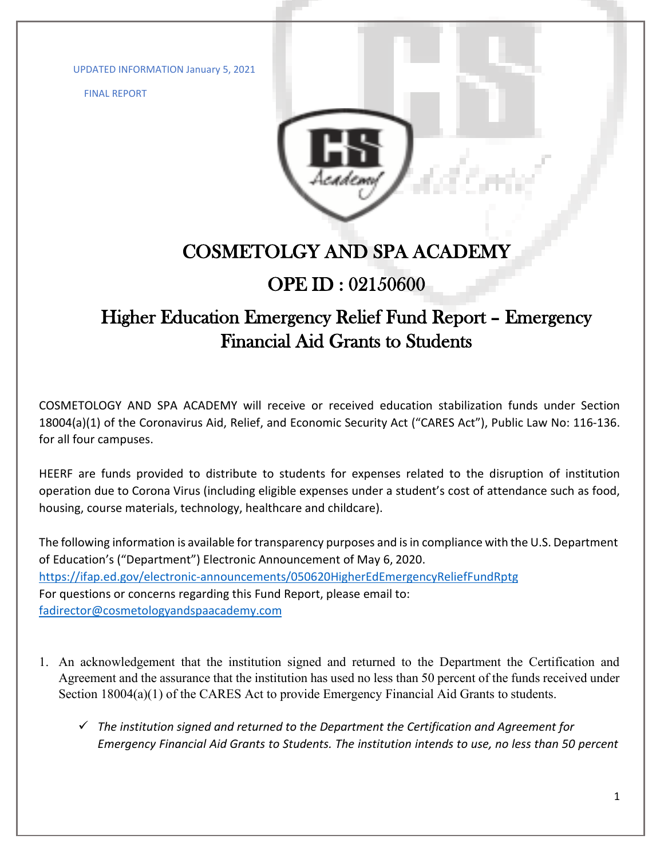UPDATED INFORMATION January 5, 2021

FINAL REPORT



## COSMETOLGY AND SPA ACADEMY

## OPE ID : 02150600

## Higher Education Emergency Relief Fund Report – Emergency Financial Aid Grants to Students

COSMETOLOGY AND SPA ACADEMY will receive or received education stabilization funds under Section 18004(a)(1) of the Coronavirus Aid, Relief, and Economic Security Act ("CARES Act"), Public Law No: 116-136. for all four campuses.

HEERF are funds provided to distribute to students for expenses related to the disruption of institution operation due to Corona Virus (including eligible expenses under a student's cost of attendance such as food, housing, course materials, technology, healthcare and childcare).

The following information is available for transparency purposes and is in compliance with the U.S. Department of Education's ("Department") Electronic Announcement of May 6, 2020. <https://ifap.ed.gov/electronic-announcements/050620HigherEdEmergencyReliefFundRptg> For questions or concerns regarding this Fund Report, please email to: [fadirector@cosmetologyandspaacademy.com](mailto:fadirector@cosmetologyandspaacademy.com)

- 1. An acknowledgement that the institution signed and returned to the Department the Certification and Agreement and the assurance that the institution has used no less than 50 percent of the funds received under Section 18004(a)(1) of the CARES Act to provide Emergency Financial Aid Grants to students.
	- *The institution signed and returned to the Department the Certification and Agreement for Emergency Financial Aid Grants to Students. The institution intends to use, no less than 50 percent*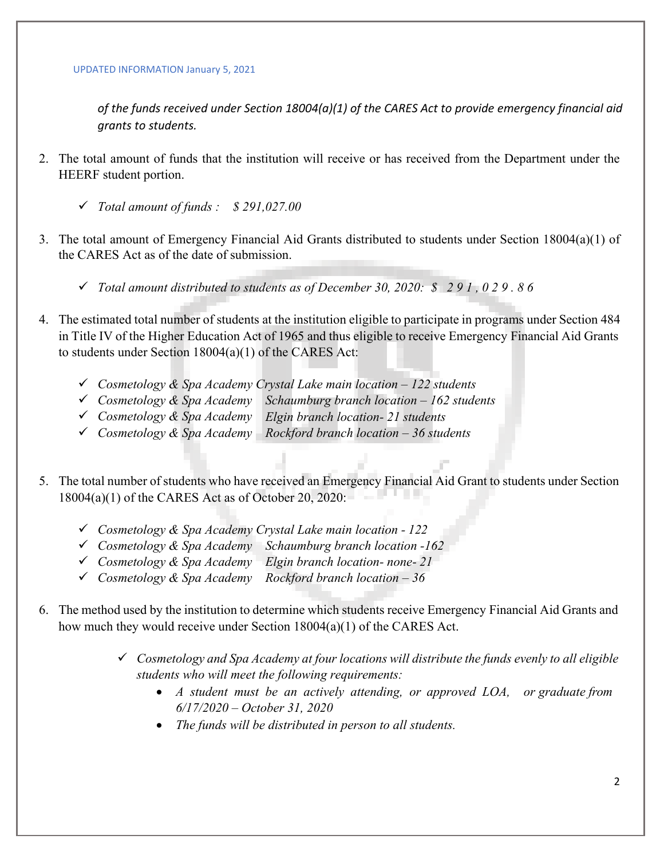*of the funds received under Section 18004(a)(1) of the CARES Act to provide emergency financial aid grants to students.*

- 2. The total amount of funds that the institution will receive or has received from the Department under the HEERF student portion.
	- *Total amount of funds : \$ 291,027.00*
- 3. The total amount of Emergency Financial Aid Grants distributed to students under Section 18004(a)(1) of the CARES Act as of the date of submission.
	- *Total amount distributed to students as of December 30, 2020: \$ 2 9 1 , 0 2 9 . 8 6*
- 4. The estimated total number of students at the institution eligible to participate in programs under Section 484 in Title IV of the Higher Education Act of 1965 and thus eligible to receive Emergency Financial Aid Grants to students under Section 18004(a)(1) of the CARES Act:
	- *Cosmetology & Spa Academy Crystal Lake main location 122 students*
	- *Cosmetology & Spa Academy Schaumburg branch location 162 students*
	- *Cosmetology & Spa Academy Elgin branch location- 21 students*
	- *Cosmetology & Spa Academy Rockford branch location 36 students*
- 5. The total number of students who have received an Emergency Financial Aid Grant to students under Section 18004(a)(1) of the CARES Act as of October 20, 2020:
	- *Cosmetology & Spa Academy Crystal Lake main location 122*
	- *Cosmetology & Spa Academy Schaumburg branch location -162*
	- *Cosmetology & Spa Academy Elgin branch location- none- 21*
	- *Cosmetology & Spa Academy Rockford branch location 36*
- 6. The method used by the institution to determine which students receive Emergency Financial Aid Grants and how much they would receive under Section 18004(a)(1) of the CARES Act.
	- *Cosmetology and Spa Academy at four locations will distribute the funds evenly to all eligible students who will meet the following requirements:*
		- *A student must be an actively attending, or approved LOA, or graduate from 6/17/2020 – October 31, 2020*
		- *The funds will be distributed in person to all students.*